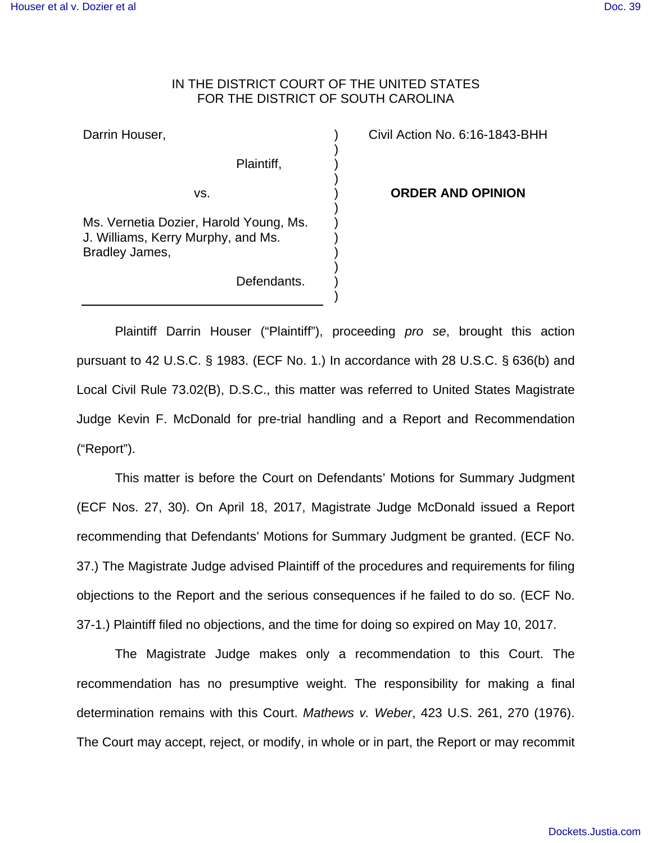## IN THE DISTRICT COURT OF THE UNITED STATES FOR THE DISTRICT OF SOUTH CAROLINA

) ) ) ) ) ) ) ) ) ) ) )

Darrin Houser,

vs.

Plaintiff,

Defendants.

Ms. Vernetia Dozier, Harold Young, Ms. J. Williams, Kerry Murphy, and Ms. Bradley James,

Civil Action No. 6:16-1843-BHH

**ORDER AND OPINION**

Plaintiff Darrin Houser ("Plaintiff"), proceeding pro se, brought this action pursuant to 42 U.S.C. § 1983. (ECF No. 1.) In accordance with 28 U.S.C. § 636(b) and Local Civil Rule 73.02(B), D.S.C., this matter was referred to United States Magistrate Judge Kevin F. McDonald for pre-trial handling and a Report and Recommendation ("Report").

 This matter is before the Court on Defendants' Motions for Summary Judgment (ECF Nos. 27, 30). On April 18, 2017, Magistrate Judge McDonald issued a Report recommending that Defendants' Motions for Summary Judgment be granted. (ECF No. 37.) The Magistrate Judge advised Plaintiff of the procedures and requirements for filing objections to the Report and the serious consequences if he failed to do so. (ECF No. 37-1.) Plaintiff filed no objections, and the time for doing so expired on May 10, 2017.

 The Magistrate Judge makes only a recommendation to this Court. The recommendation has no presumptive weight. The responsibility for making a final determination remains with this Court. Mathews v. Weber, 423 U.S. 261, 270 (1976). The Court may accept, reject, or modify, in whole or in part, the Report or may recommit